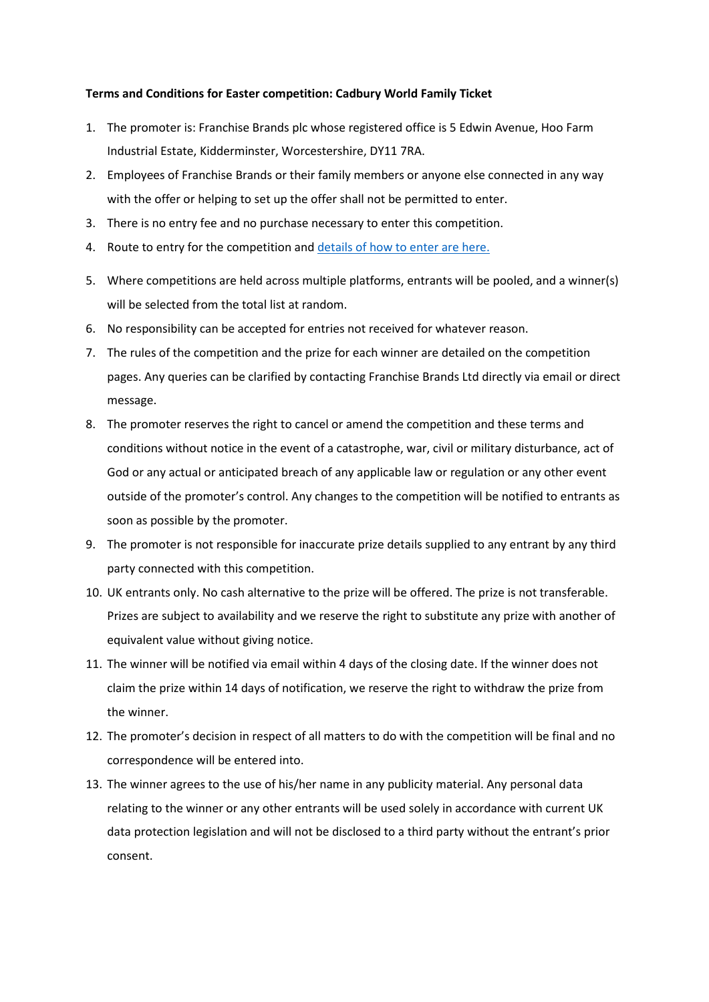## **Terms and Conditions for Easter competition: Cadbury World Family Ticket**

- 1. The promoter is: Franchise Brands plc whose registered office is 5 Edwin Avenue, Hoo Farm Industrial Estate, Kidderminster, Worcestershire, DY11 7RA.
- 2. Employees of Franchise Brands or their family members or anyone else connected in any way with the offer or helping to set up the offer shall not be permitted to enter.
- 3. There is no entry fee and no purchase necessary to enter this competition.
- 4. Route to entry for the competition an[d details of how to enter are here.](https://ovenclean.lpages.co/easter-22/)
- 5. Where competitions are held across multiple platforms, entrants will be pooled, and a winner(s) will be selected from the total list at random.
- 6. No responsibility can be accepted for entries not received for whatever reason.
- 7. The rules of the competition and the prize for each winner are detailed on the competition pages. Any queries can be clarified by contacting Franchise Brands Ltd directly via email or direct message.
- 8. The promoter reserves the right to cancel or amend the competition and these terms and conditions without notice in the event of a catastrophe, war, civil or military disturbance, act of God or any actual or anticipated breach of any applicable law or regulation or any other event outside of the promoter's control. Any changes to the competition will be notified to entrants as soon as possible by the promoter.
- 9. The promoter is not responsible for inaccurate prize details supplied to any entrant by any third party connected with this competition.
- 10. UK entrants only. No cash alternative to the prize will be offered. The prize is not transferable. Prizes are subject to availability and we reserve the right to substitute any prize with another of equivalent value without giving notice.
- 11. The winner will be notified via email within 4 days of the closing date. If the winner does not claim the prize within 14 days of notification, we reserve the right to withdraw the prize from the winner.
- 12. The promoter's decision in respect of all matters to do with the competition will be final and no correspondence will be entered into.
- 13. The winner agrees to the use of his/her name in any publicity material. Any personal data relating to the winner or any other entrants will be used solely in accordance with current UK data protection legislation and will not be disclosed to a third party without the entrant's prior consent.